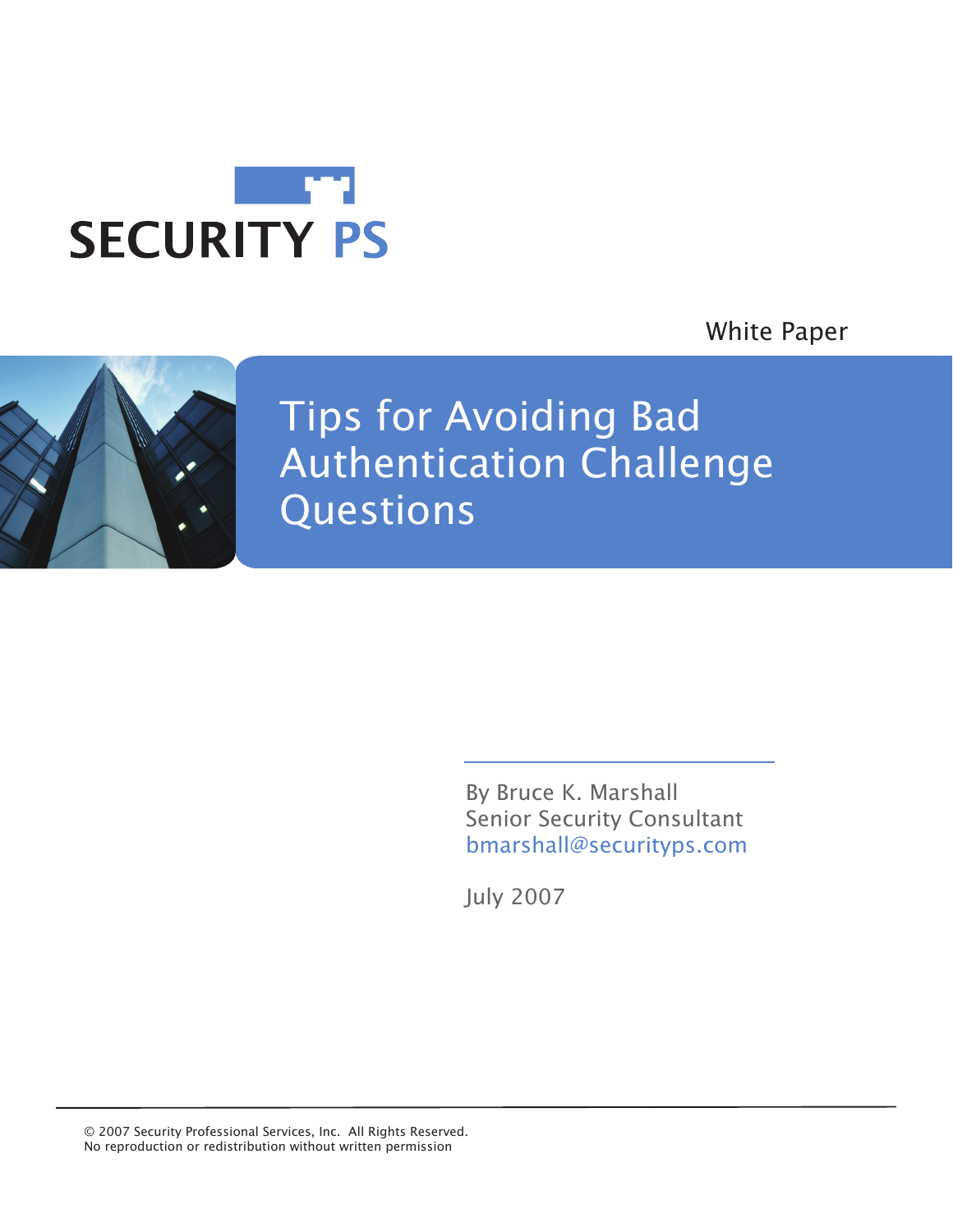

White Paper



Tips for Avoiding Bad Authentication Challenge Questions

> By Bruce K. Marshall Senior Security Consultant bmarshall@securityps.com

July 2007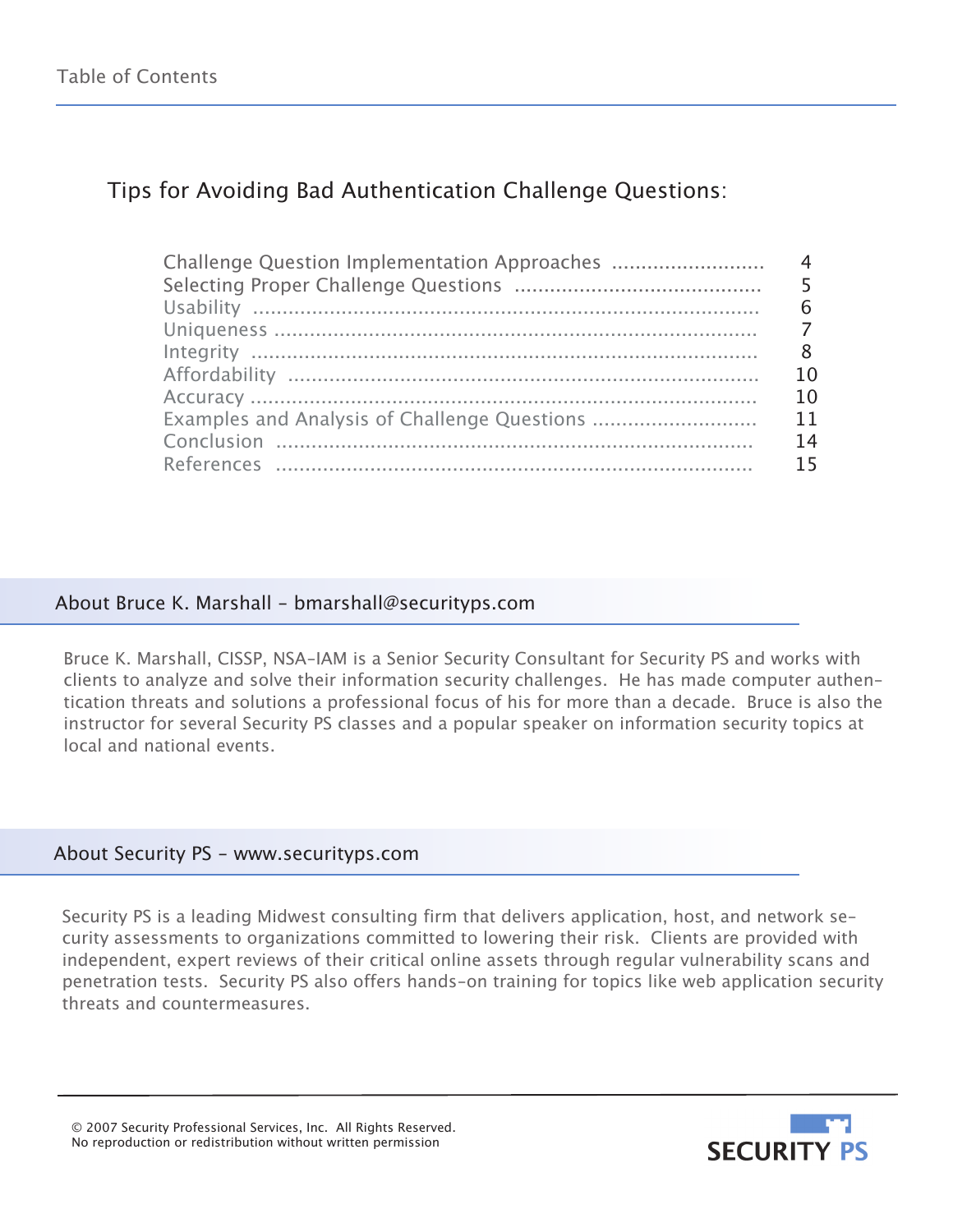## Tips for Avoiding Bad Authentication Challenge Questions:

|                                              | 5   |
|----------------------------------------------|-----|
|                                              | 6   |
|                                              |     |
|                                              | 8   |
|                                              |     |
|                                              | 1 በ |
| Examples and Analysis of Challenge Questions | 11  |
|                                              | 14  |
|                                              |     |

#### About Bruce K. Marshall - bmarshall@securityps.com

Bruce K. Marshall, CISSP, NSA-IAM is a Senior Security Consultant for Security PS and works with clients to analyze and solve their information security challenges. He has made computer authentication threats and solutions a professional focus of his for more than a decade. Bruce is also the instructor for several Security PS classes and a popular speaker on information security topics at local and national events.

#### About Security PS - www.securityps.com

Security PS is a leading Midwest consulting firm that delivers application, host, and network security assessments to organizations committed to lowering their risk. Clients are provided with independent, expert reviews of their critical online assets through regular vulnerability scans and penetration tests. Security PS also offers hands-on training for topics like web application security threats and countermeasures.

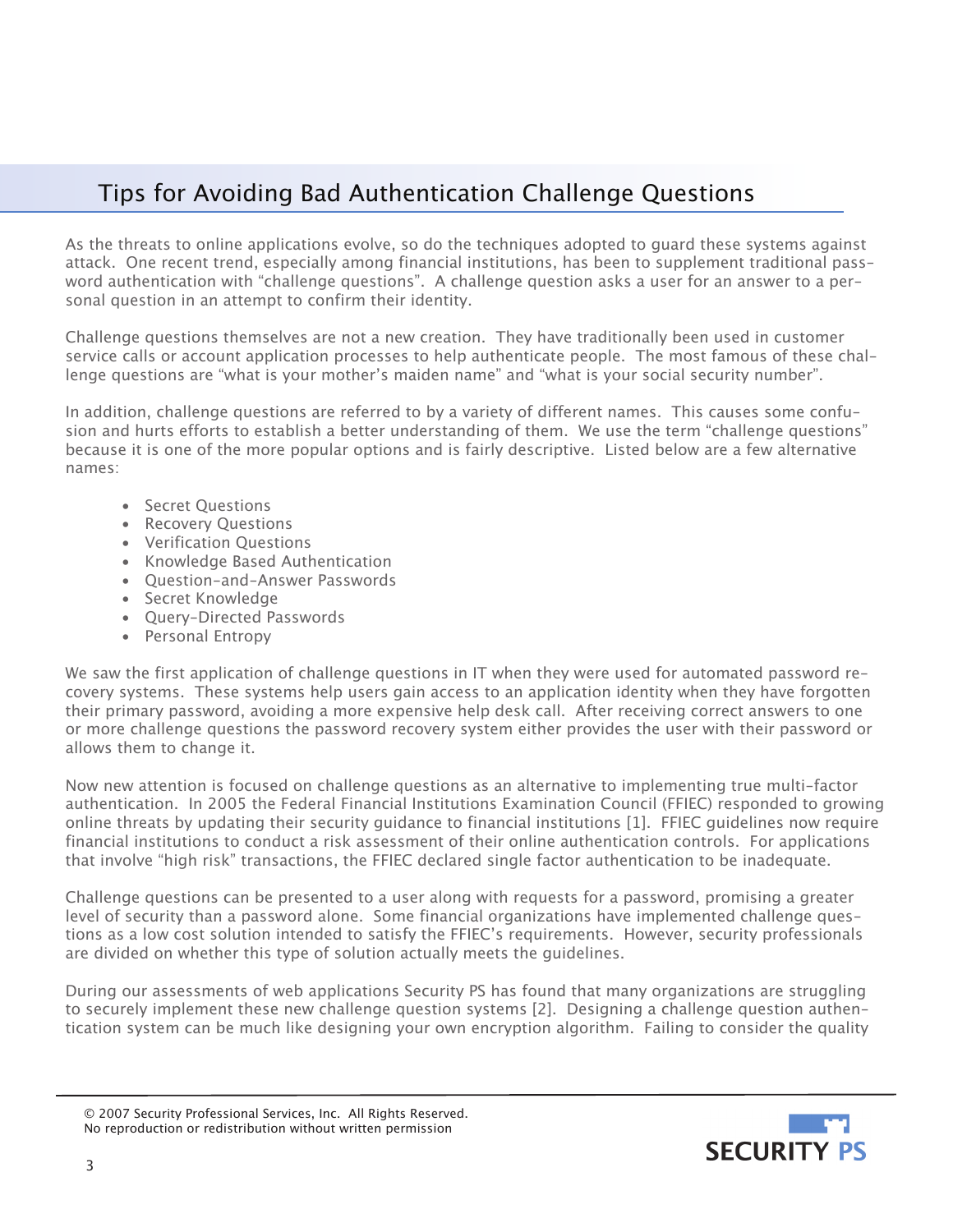# Tips for Avoiding Bad Authentication Challenge Questions

As the threats to online applications evolve, so do the techniques adopted to guard these systems against attack. One recent trend, especially among financial institutions, has been to supplement traditional password authentication with "challenge questions". A challenge question asks a user for an answer to a personal question in an attempt to confirm their identity.

Challenge questions themselves are not a new creation. They have traditionally been used in customer service calls or account application processes to help authenticate people. The most famous of these challenge questions are "what is your mother's maiden name" and "what is your social security number".

In addition, challenge questions are referred to by a variety of different names. This causes some confusion and hurts efforts to establish a better understanding of them. We use the term "challenge questions" because it is one of the more popular options and is fairly descriptive. Listed below are a few alternative names:

- Secret Questions
- Recovery Questions
- Verification Questions
- Knowledge Based Authentication
- Question-and-Answer Passwords
- Secret Knowledge
- Query-Directed Passwords
- Personal Entropy

We saw the first application of challenge questions in IT when they were used for automated password recovery systems. These systems help users gain access to an application identity when they have forgotten their primary password, avoiding a more expensive help desk call. After receiving correct answers to one or more challenge questions the password recovery system either provides the user with their password or allows them to change it.

Now new attention is focused on challenge questions as an alternative to implementing true multi-factor authentication. In 2005 the Federal Financial Institutions Examination Council (FFIEC) responded to growing online threats by updating their security guidance to financial institutions [1]. FFIEC guidelines now require financial institutions to conduct a risk assessment of their online authentication controls. For applications that involve "high risk" transactions, the FFIEC declared single factor authentication to be inadequate.

Challenge questions can be presented to a user along with requests for a password, promising a greater level of security than a password alone. Some financial organizations have implemented challenge questions as a low cost solution intended to satisfy the FFIEC's requirements. However, security professionals are divided on whether this type of solution actually meets the guidelines.

During our assessments of web applications Security PS has found that many organizations are struggling to securely implement these new challenge question systems [2]. Designing a challenge question authentication system can be much like designing your own encryption algorithm. Failing to consider the quality



<sup>© 2007</sup> Security Professional Services, Inc. All Rights Reserved. No reproduction or redistribution without written permission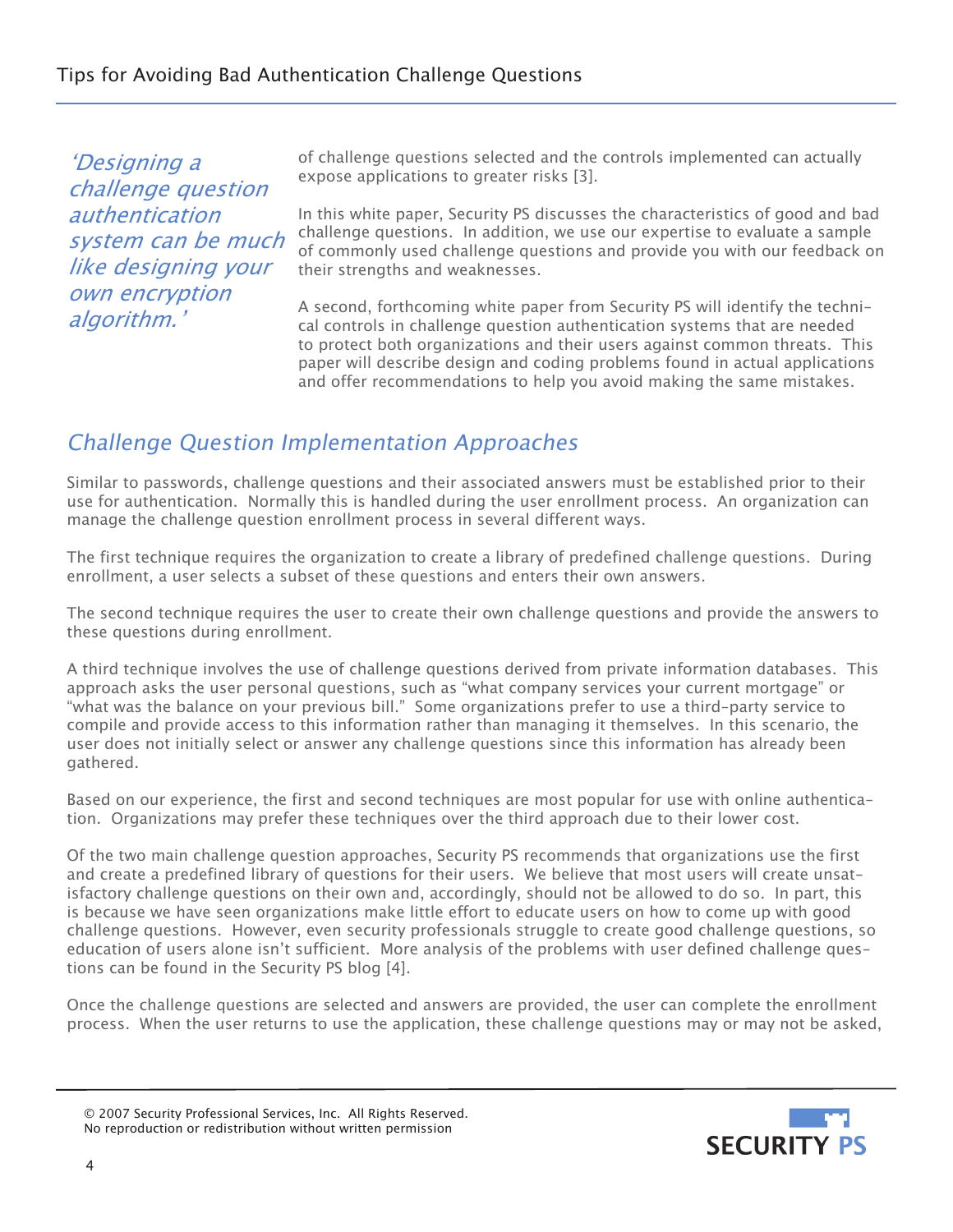'Designing a challenge question authentication system can be much like designing your own encryption algorithm.'

of challenge questions selected and the controls implemented can actually expose applications to greater risks [3].

In this white paper, Security PS discusses the characteristics of good and bad challenge questions. In addition, we use our expertise to evaluate a sample of commonly used challenge questions and provide you with our feedback on their strengths and weaknesses.

A second, forthcoming white paper from Security PS will identify the technical controls in challenge question authentication systems that are needed to protect both organizations and their users against common threats. This paper will describe design and coding problems found in actual applications and offer recommendations to help you avoid making the same mistakes.

## Challenge Question Implementation Approaches

Similar to passwords, challenge questions and their associated answers must be established prior to their use for authentication. Normally this is handled during the user enrollment process. An organization can manage the challenge question enrollment process in several different ways.

The first technique requires the organization to create a library of predefined challenge questions. During enrollment, a user selects a subset of these questions and enters their own answers.

The second technique requires the user to create their own challenge questions and provide the answers to these questions during enrollment.

A third technique involves the use of challenge questions derived from private information databases. This approach asks the user personal questions, such as "what company services your current mortgage" or "what was the balance on your previous bill." Some organizations prefer to use a third-party service to compile and provide access to this information rather than managing it themselves. In this scenario, the user does not initially select or answer any challenge questions since this information has already been gathered.

Based on our experience, the first and second techniques are most popular for use with online authentication. Organizations may prefer these techniques over the third approach due to their lower cost.

Of the two main challenge question approaches, Security PS recommends that organizations use the first and create a predefined library of questions for their users. We believe that most users will create unsatisfactory challenge questions on their own and, accordingly, should not be allowed to do so. In part, this is because we have seen organizations make little effort to educate users on how to come up with good challenge questions. However, even security professionals struggle to create good challenge questions, so education of users alone isn't sufficient. More analysis of the problems with user defined challenge questions can be found in the Security PS blog [4].

Once the challenge questions are selected and answers are provided, the user can complete the enrollment process. When the user returns to use the application, these challenge questions may or may not be asked,

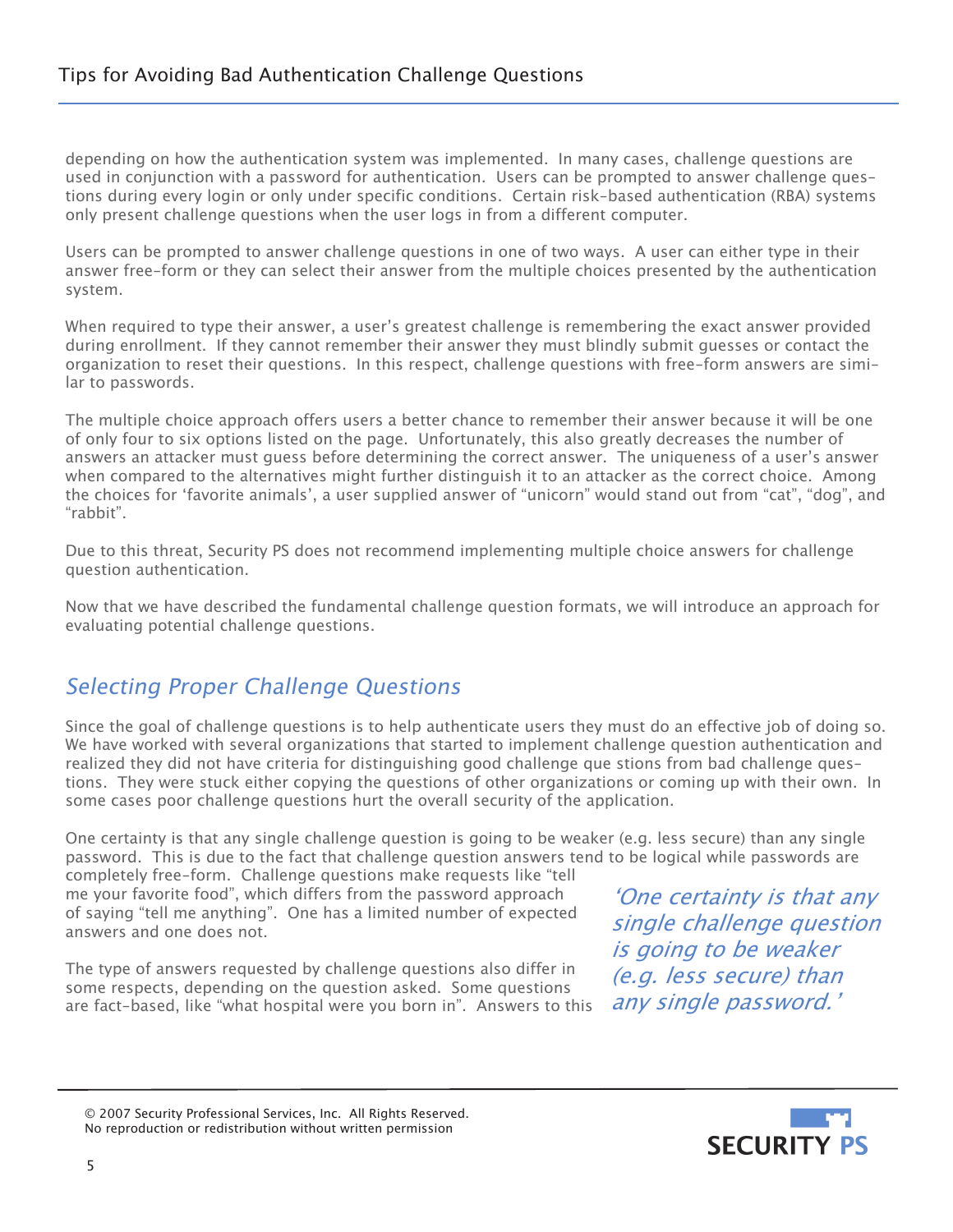depending on how the authentication system was implemented. In many cases, challenge questions are used in conjunction with a password for authentication. Users can be prompted to answer challenge questions during every login or only under specific conditions. Certain risk-based authentication (RBA) systems only present challenge questions when the user logs in from a different computer.

Users can be prompted to answer challenge questions in one of two ways. A user can either type in their answer free-form or they can select their answer from the multiple choices presented by the authentication system.

When required to type their answer, a user's greatest challenge is remembering the exact answer provided during enrollment. If they cannot remember their answer they must blindly submit guesses or contact the organization to reset their questions. In this respect, challenge questions with free-form answers are similar to passwords.

The multiple choice approach offers users a better chance to remember their answer because it will be one of only four to six options listed on the page. Unfortunately, this also greatly decreases the number of answers an attacker must guess before determining the correct answer. The uniqueness of a user's answer when compared to the alternatives might further distinguish it to an attacker as the correct choice. Among the choices for 'favorite animals', a user supplied answer of "unicorn" would stand out from "cat", "dog", and "rabbit".

Due to this threat, Security PS does not recommend implementing multiple choice answers for challenge question authentication.

Now that we have described the fundamental challenge question formats, we will introduce an approach for evaluating potential challenge questions.

## Selecting Proper Challenge Questions

Since the goal of challenge questions is to help authenticate users they must do an effective job of doing so. We have worked with several organizations that started to implement challenge question authentication and realized they did not have criteria for distinguishing good challenge que stions from bad challenge questions. They were stuck either copying the questions of other organizations or coming up with their own. In some cases poor challenge questions hurt the overall security of the application.

One certainty is that any single challenge question is going to be weaker (e.g. less secure) than any single password. This is due to the fact that challenge question answers tend to be logical while passwords are

completely free-form. Challenge questions make requests like "tell me your favorite food", which differs from the password approach of saying "tell me anything". One has a limited number of expected answers and one does not.

The type of answers requested by challenge questions also differ in some respects, depending on the question asked. Some questions are fact-based, like "what hospital were you born in". Answers to this

'One certainty is that any single challenge question is going to be weaker (e.g. less secure) than any single password.'



<sup>© 2007</sup> Security Professional Services, Inc. All Rights Reserved. No reproduction or redistribution without written permission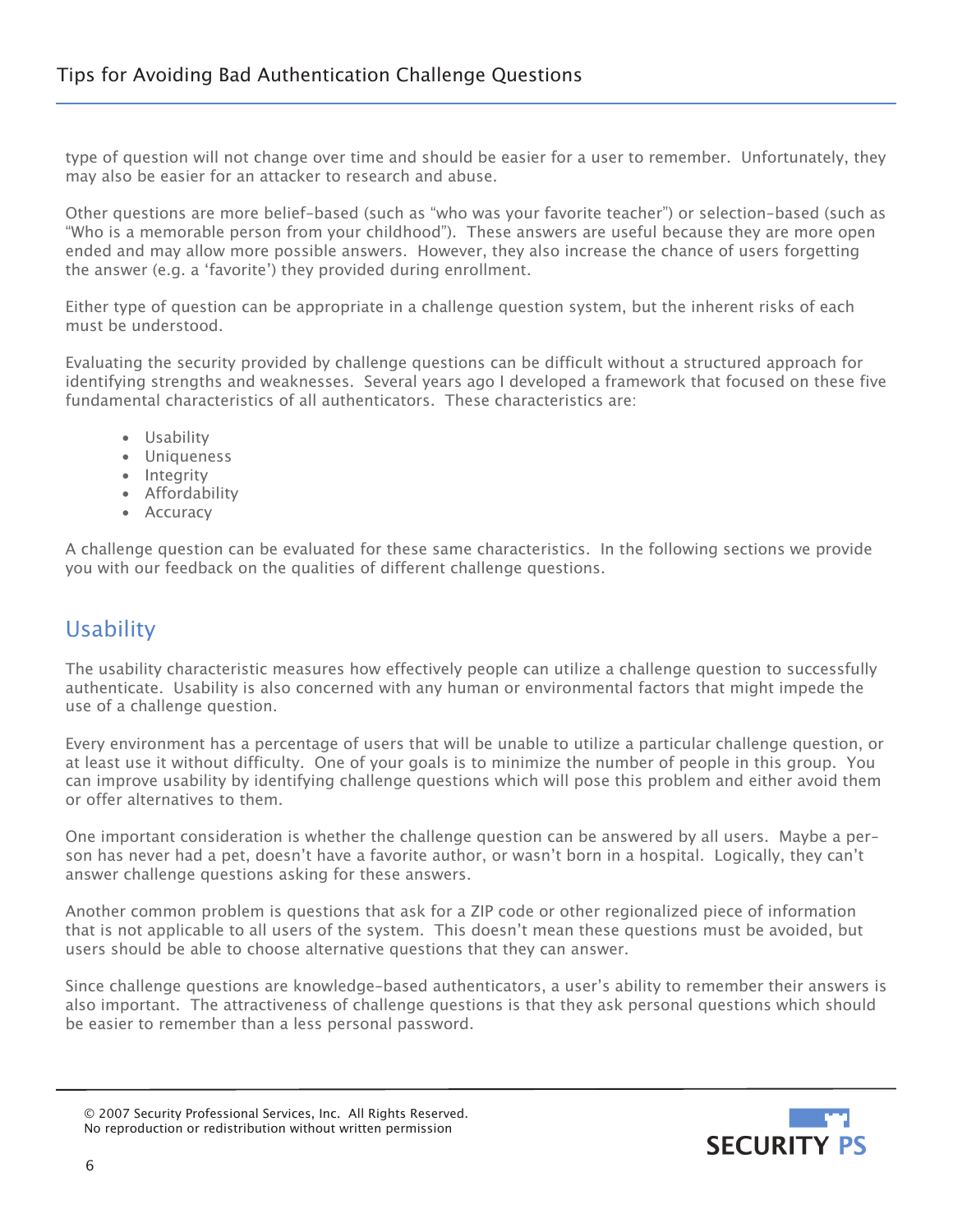type of question will not change over time and should be easier for a user to remember. Unfortunately, they may also be easier for an attacker to research and abuse.

Other questions are more belief-based (such as "who was your favorite teacher") or selection-based (such as "Who is a memorable person from your childhood"). These answers are useful because they are more open ended and may allow more possible answers. However, they also increase the chance of users forgetting the answer (e.g. a 'favorite') they provided during enrollment.

Either type of question can be appropriate in a challenge question system, but the inherent risks of each must be understood.

Evaluating the security provided by challenge questions can be difficult without a structured approach for identifying strengths and weaknesses. Several years ago I developed a framework that focused on these five fundamental characteristics of all authenticators. These characteristics are:

- Usability
- Uniqueness
- Integrity
- Affordability
- Accuracy

A challenge question can be evaluated for these same characteristics. In the following sections we provide you with our feedback on the qualities of different challenge questions.

## **Usability**

The usability characteristic measures how effectively people can utilize a challenge question to successfully authenticate. Usability is also concerned with any human or environmental factors that might impede the use of a challenge question.

Every environment has a percentage of users that will be unable to utilize a particular challenge question, or at least use it without difficulty. One of your goals is to minimize the number of people in this group. You can improve usability by identifying challenge questions which will pose this problem and either avoid them or offer alternatives to them.

One important consideration is whether the challenge question can be answered by all users. Maybe a person has never had a pet, doesn't have a favorite author, or wasn't born in a hospital. Logically, they can't answer challenge questions asking for these answers.

Another common problem is questions that ask for a ZIP code or other regionalized piece of information that is not applicable to all users of the system. This doesn't mean these questions must be avoided, but users should be able to choose alternative questions that they can answer.

Since challenge questions are knowledge-based authenticators, a user's ability to remember their answers is also important. The attractiveness of challenge questions is that they ask personal questions which should be easier to remember than a less personal password.

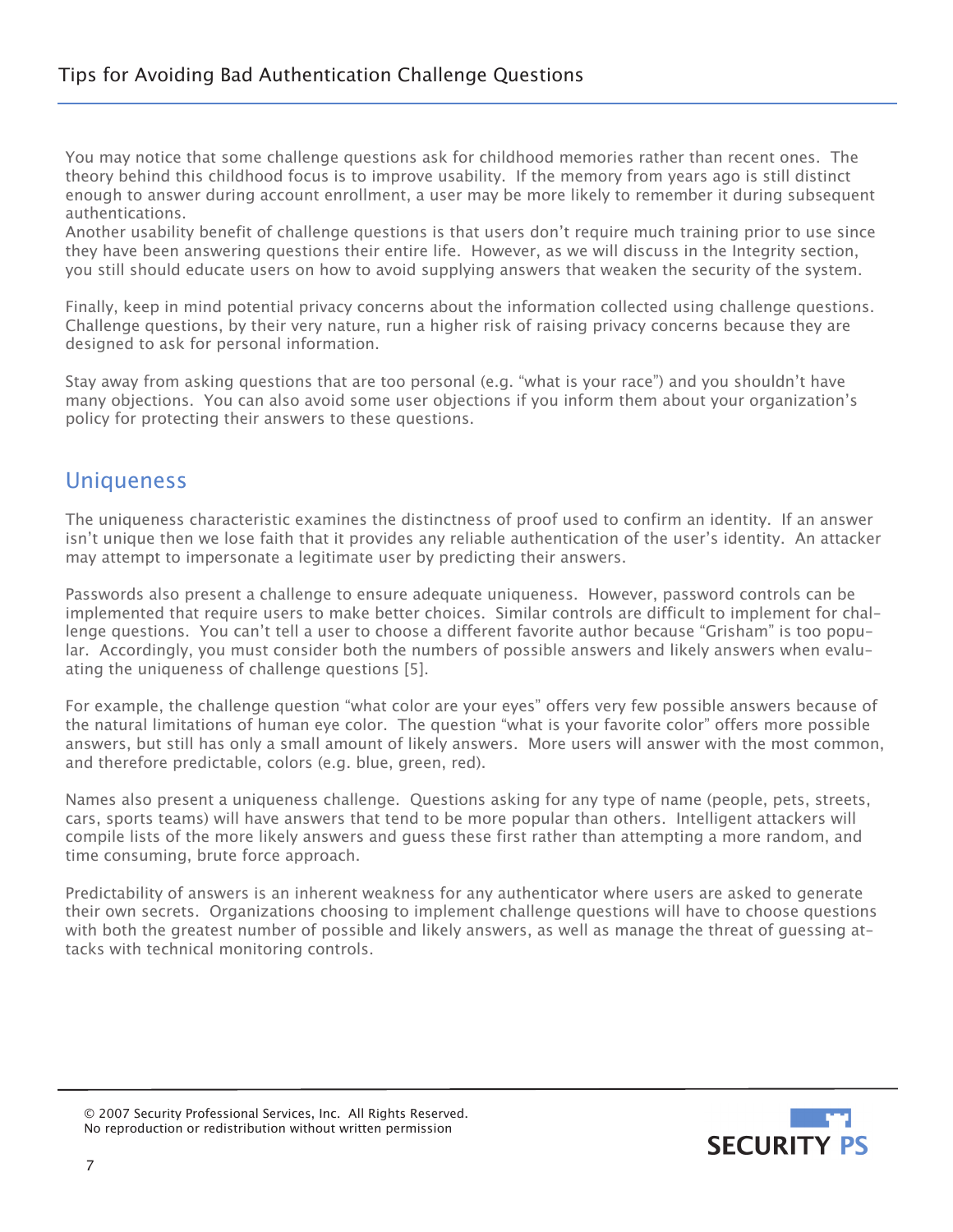You may notice that some challenge questions ask for childhood memories rather than recent ones. The theory behind this childhood focus is to improve usability. If the memory from years ago is still distinct enough to answer during account enrollment, a user may be more likely to remember it during subsequent authentications.

Another usability benefit of challenge questions is that users don't require much training prior to use since they have been answering questions their entire life. However, as we will discuss in the Integrity section, you still should educate users on how to avoid supplying answers that weaken the security of the system.

Finally, keep in mind potential privacy concerns about the information collected using challenge questions. Challenge questions, by their very nature, run a higher risk of raising privacy concerns because they are designed to ask for personal information.

Stay away from asking questions that are too personal (e.g. "what is your race") and you shouldn't have many objections. You can also avoid some user objections if you inform them about your organization's policy for protecting their answers to these questions.

### **Uniqueness**

The uniqueness characteristic examines the distinctness of proof used to confirm an identity. If an answer isn't unique then we lose faith that it provides any reliable authentication of the user's identity. An attacker may attempt to impersonate a legitimate user by predicting their answers.

Passwords also present a challenge to ensure adequate uniqueness. However, password controls can be implemented that require users to make better choices. Similar controls are difficult to implement for challenge questions. You can't tell a user to choose a different favorite author because "Grisham" is too popular. Accordingly, you must consider both the numbers of possible answers and likely answers when evaluating the uniqueness of challenge questions [5].

For example, the challenge question "what color are your eyes" offers very few possible answers because of the natural limitations of human eye color. The question "what is your favorite color" offers more possible answers, but still has only a small amount of likely answers. More users will answer with the most common, and therefore predictable, colors (e.g. blue, green, red).

Names also present a uniqueness challenge. Questions asking for any type of name (people, pets, streets, cars, sports teams) will have answers that tend to be more popular than others. Intelligent attackers will compile lists of the more likely answers and guess these first rather than attempting a more random, and time consuming, brute force approach.

Predictability of answers is an inherent weakness for any authenticator where users are asked to generate their own secrets. Organizations choosing to implement challenge questions will have to choose questions with both the greatest number of possible and likely answers, as well as manage the threat of guessing attacks with technical monitoring controls.



<sup>© 2007</sup> Security Professional Services, Inc. All Rights Reserved. No reproduction or redistribution without written permission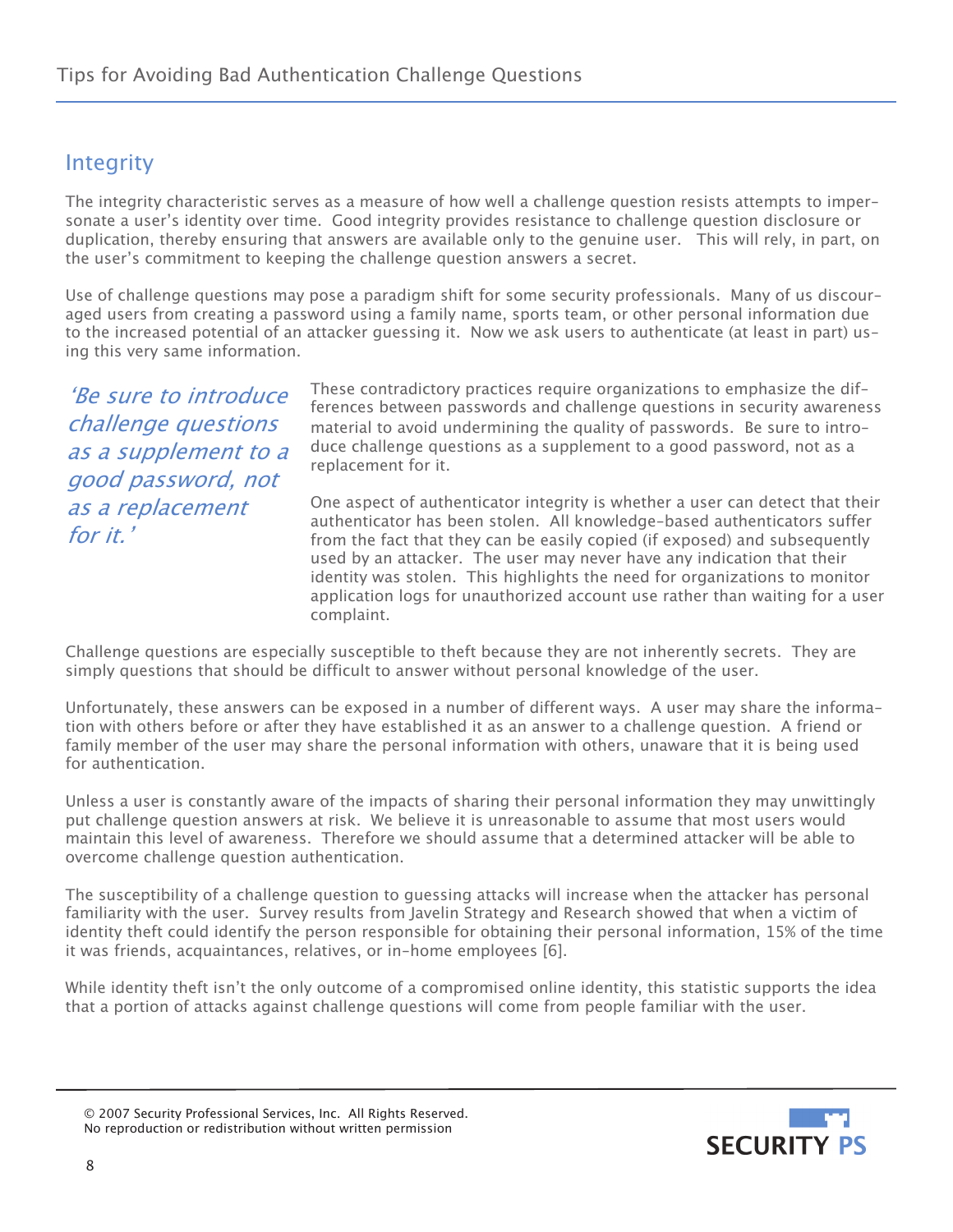### **Integrity**

The integrity characteristic serves as a measure of how well a challenge question resists attempts to impersonate a user's identity over time. Good integrity provides resistance to challenge question disclosure or duplication, thereby ensuring that answers are available only to the genuine user. This will rely, in part, on the user's commitment to keeping the challenge question answers a secret.

Use of challenge questions may pose a paradigm shift for some security professionals. Many of us discouraged users from creating a password using a family name, sports team, or other personal information due to the increased potential of an attacker guessing it. Now we ask users to authenticate (at least in part) using this very same information.

'Be sure to introduce challenge questions as a supplement to a good password, not as a replacement for it.'

These contradictory practices require organizations to emphasize the differences between passwords and challenge questions in security awareness material to avoid undermining the quality of passwords. Be sure to introduce challenge questions as a supplement to a good password, not as a replacement for it.

One aspect of authenticator integrity is whether a user can detect that their authenticator has been stolen. All knowledge-based authenticators suffer from the fact that they can be easily copied (if exposed) and subsequently used by an attacker. The user may never have any indication that their identity was stolen. This highlights the need for organizations to monitor application logs for unauthorized account use rather than waiting for a user complaint.

Challenge questions are especially susceptible to theft because they are not inherently secrets. They are simply questions that should be difficult to answer without personal knowledge of the user.

Unfortunately, these answers can be exposed in a number of different ways. A user may share the information with others before or after they have established it as an answer to a challenge question. A friend or family member of the user may share the personal information with others, unaware that it is being used for authentication.

Unless a user is constantly aware of the impacts of sharing their personal information they may unwittingly put challenge question answers at risk. We believe it is unreasonable to assume that most users would maintain this level of awareness. Therefore we should assume that a determined attacker will be able to overcome challenge question authentication.

The susceptibility of a challenge question to guessing attacks will increase when the attacker has personal familiarity with the user. Survey results from Javelin Strategy and Research showed that when a victim of identity theft could identify the person responsible for obtaining their personal information, 15% of the time it was friends, acquaintances, relatives, or in-home employees [6].

While identity theft isn't the only outcome of a compromised online identity, this statistic supports the idea that a portion of attacks against challenge questions will come from people familiar with the user.

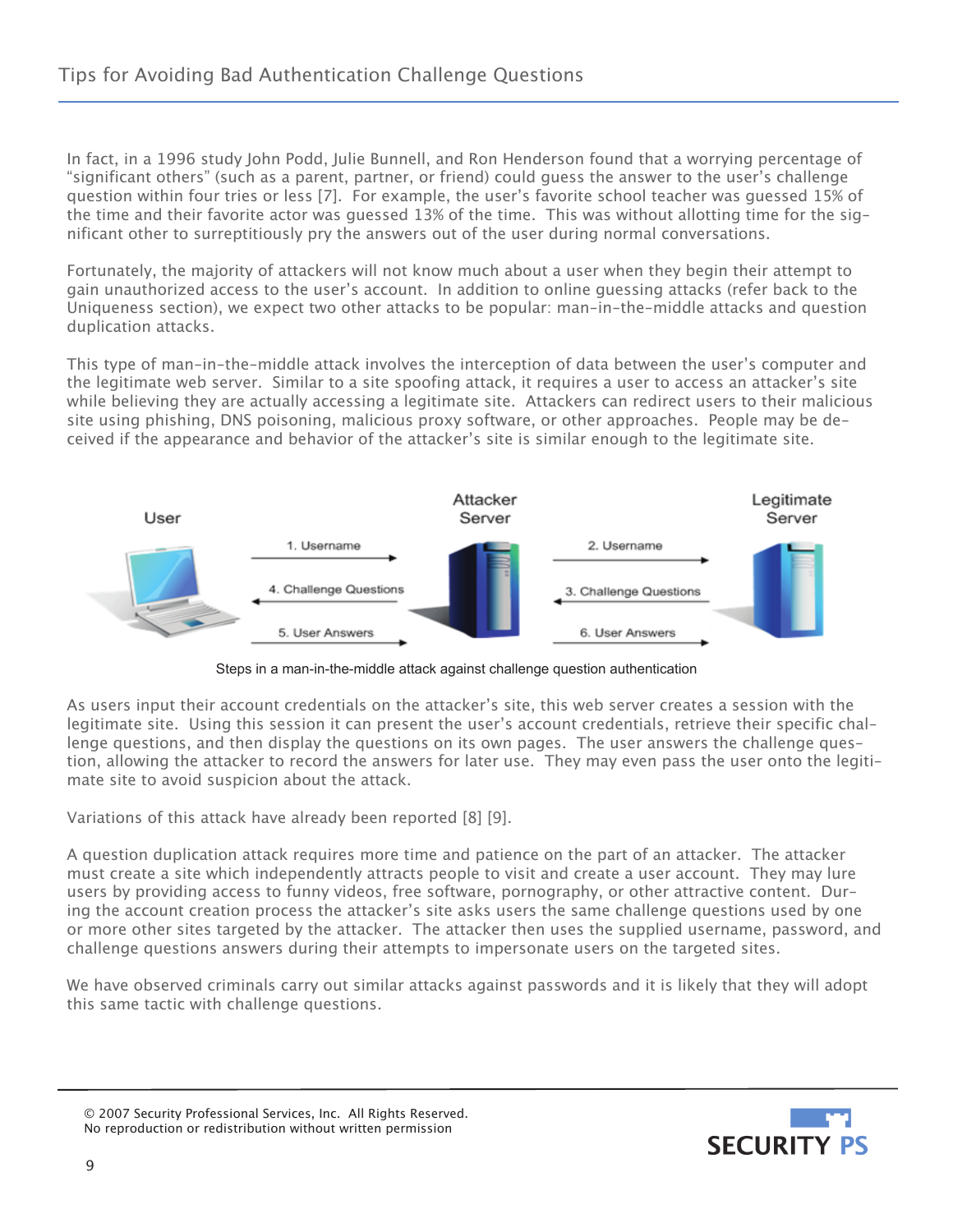In fact, in a 1996 study John Podd, Julie Bunnell, and Ron Henderson found that a worrying percentage of "significant others" (such as a parent, partner, or friend) could guess the answer to the user's challenge question within four tries or less [7]. For example, the user's favorite school teacher was guessed 15% of the time and their favorite actor was guessed 13% of the time. This was without allotting time for the significant other to surreptitiously pry the answers out of the user during normal conversations.

Fortunately, the majority of attackers will not know much about a user when they begin their attempt to gain unauthorized access to the user's account. In addition to online guessing attacks (refer back to the Uniqueness section), we expect two other attacks to be popular: man-in-the-middle attacks and question duplication attacks.

This type of man-in-the-middle attack involves the interception of data between the user's computer and the legitimate web server. Similar to a site spoofing attack, it requires a user to access an attacker's site while believing they are actually accessing a legitimate site. Attackers can redirect users to their malicious site using phishing, DNS poisoning, malicious proxy software, or other approaches. People may be deceived if the appearance and behavior of the attacker's site is similar enough to the legitimate site.



Steps in a man-in-the-middle attack against challenge question authentication

As users input their account credentials on the attacker's site, this web server creates a session with the legitimate site. Using this session it can present the user's account credentials, retrieve their specific challenge questions, and then display the questions on its own pages. The user answers the challenge question, allowing the attacker to record the answers for later use. They may even pass the user onto the legitimate site to avoid suspicion about the attack.

Variations of this attack have already been reported [8] [9].

A question duplication attack requires more time and patience on the part of an attacker. The attacker must create a site which independently attracts people to visit and create a user account. They may lure users by providing access to funny videos, free software, pornography, or other attractive content. During the account creation process the attacker's site asks users the same challenge questions used by one or more other sites targeted by the attacker. The attacker then uses the supplied username, password, and challenge questions answers during their attempts to impersonate users on the targeted sites.

We have observed criminals carry out similar attacks against passwords and it is likely that they will adopt this same tactic with challenge questions.

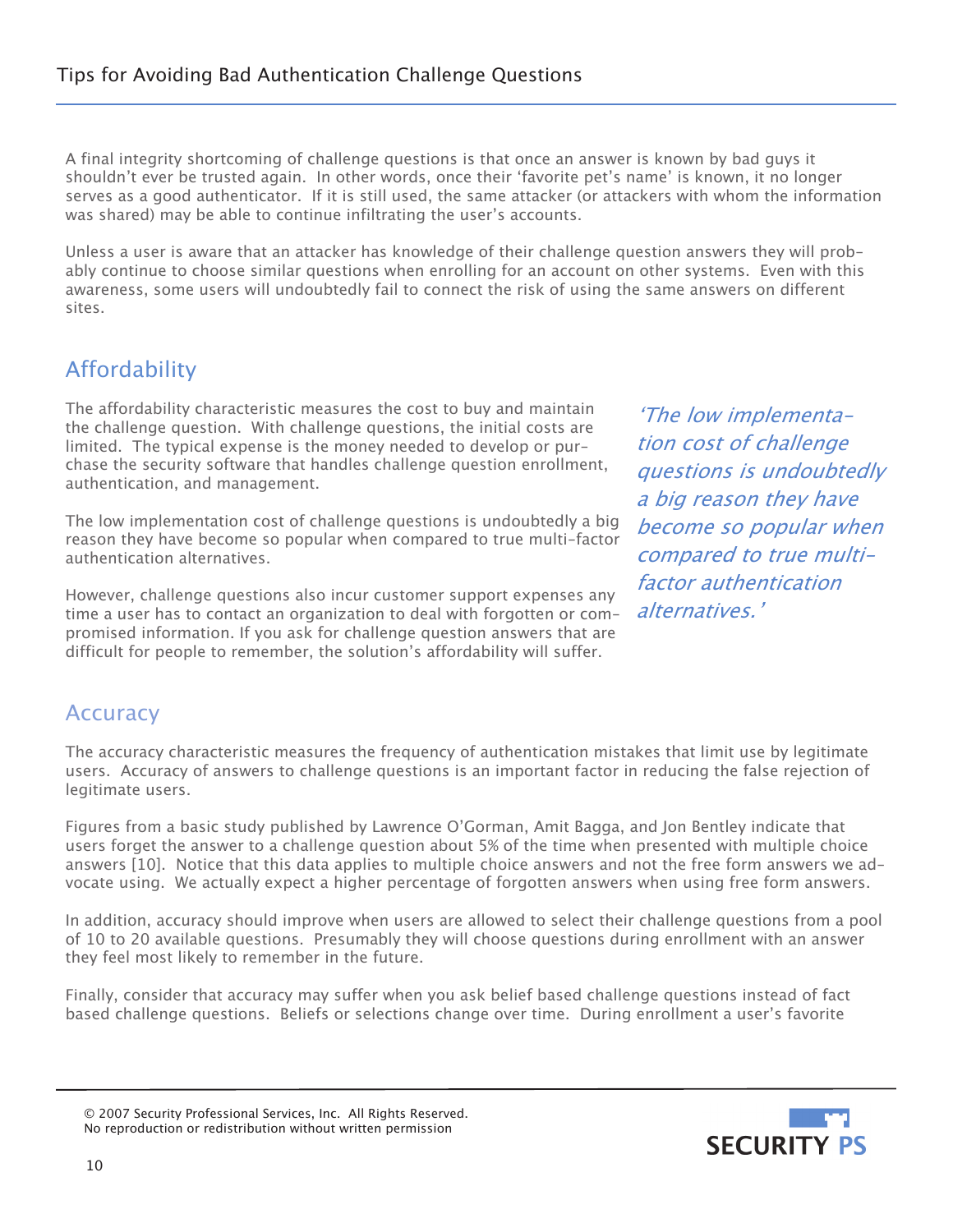A final integrity shortcoming of challenge questions is that once an answer is known by bad guys it shouldn't ever be trusted again. In other words, once their 'favorite pet's name' is known, it no longer serves as a good authenticator. If it is still used, the same attacker (or attackers with whom the information was shared) may be able to continue infiltrating the user's accounts.

Unless a user is aware that an attacker has knowledge of their challenge question answers they will probably continue to choose similar questions when enrolling for an account on other systems. Even with this awareness, some users will undoubtedly fail to connect the risk of using the same answers on different sites.

## Affordability

The affordability characteristic measures the cost to buy and maintain the challenge question. With challenge questions, the initial costs are limited. The typical expense is the money needed to develop or purchase the security software that handles challenge question enrollment, authentication, and management.

The low implementation cost of challenge questions is undoubtedly a big reason they have become so popular when compared to true multi-factor authentication alternatives.

However, challenge questions also incur customer support expenses any time a user has to contact an organization to deal with forgotten or compromised information. If you ask for challenge question answers that are difficult for people to remember, the solution's affordability will suffer.

'The low implementation cost of challenge questions is undoubtedly a big reason they have become so popular when compared to true multifactor authentication alternatives.'

## **Accuracy**

The accuracy characteristic measures the frequency of authentication mistakes that limit use by legitimate users. Accuracy of answers to challenge questions is an important factor in reducing the false rejection of legitimate users.

Figures from a basic study published by Lawrence O'Gorman, Amit Bagga, and Jon Bentley indicate that users forget the answer to a challenge question about 5% of the time when presented with multiple choice answers [10]. Notice that this data applies to multiple choice answers and not the free form answers we advocate using. We actually expect a higher percentage of forgotten answers when using free form answers.

In addition, accuracy should improve when users are allowed to select their challenge questions from a pool of 10 to 20 available questions. Presumably they will choose questions during enrollment with an answer they feel most likely to remember in the future.

Finally, consider that accuracy may suffer when you ask belief based challenge questions instead of fact based challenge questions. Beliefs or selections change over time. During enrollment a user's favorite

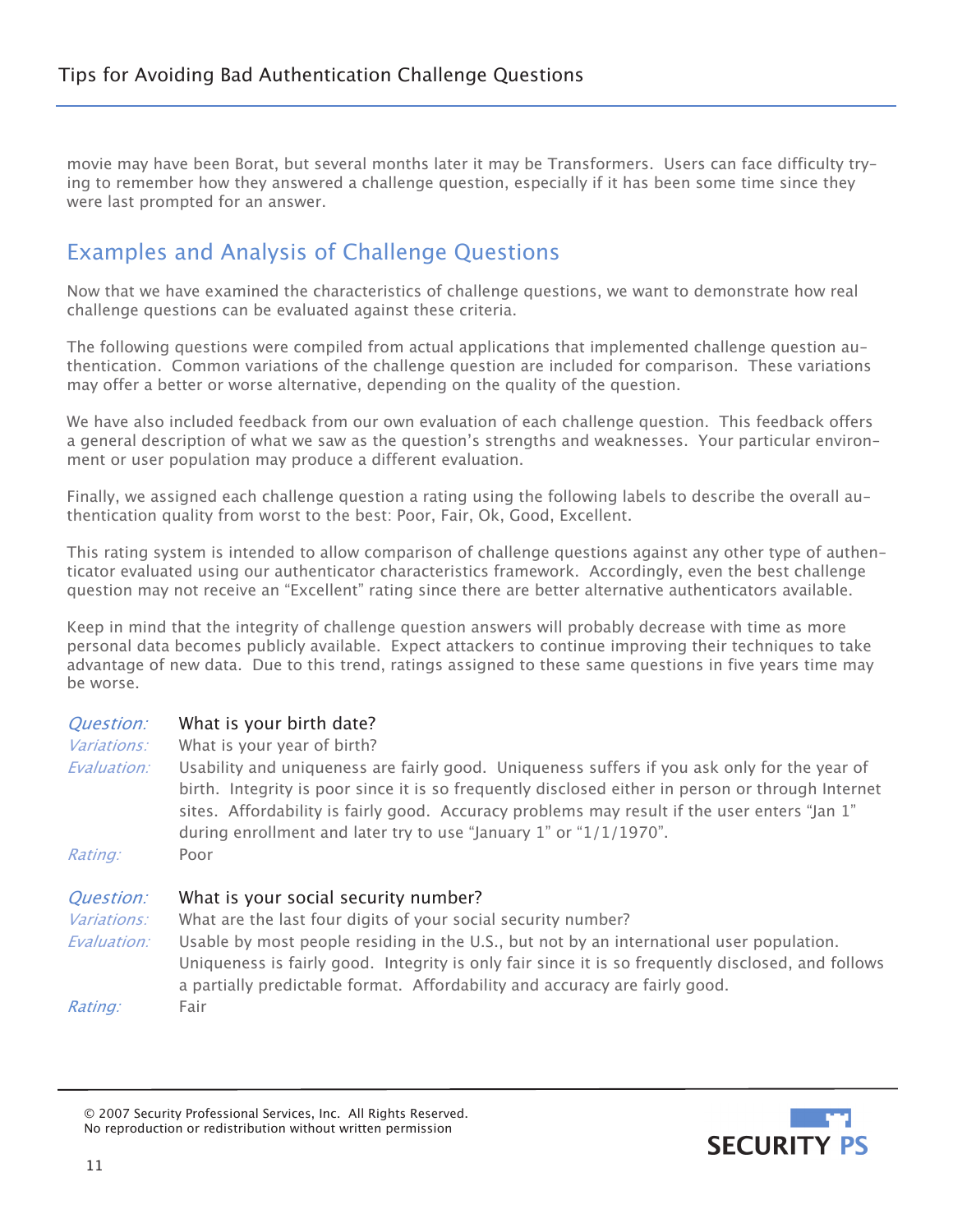movie may have been Borat, but several months later it may be Transformers. Users can face difficulty trying to remember how they answered a challenge question, especially if it has been some time since they were last prompted for an answer.

## Examples and Analysis of Challenge Questions

Now that we have examined the characteristics of challenge questions, we want to demonstrate how real challenge questions can be evaluated against these criteria.

The following questions were compiled from actual applications that implemented challenge question authentication. Common variations of the challenge question are included for comparison. These variations may offer a better or worse alternative, depending on the quality of the question.

We have also included feedback from our own evaluation of each challenge question. This feedback offers a general description of what we saw as the question's strengths and weaknesses. Your particular environment or user population may produce a different evaluation.

Finally, we assigned each challenge question a rating using the following labels to describe the overall authentication quality from worst to the best: Poor, Fair, Ok, Good, Excellent.

This rating system is intended to allow comparison of challenge questions against any other type of authenticator evaluated using our authenticator characteristics framework. Accordingly, even the best challenge question may not receive an "Excellent" rating since there are better alternative authenticators available.

Keep in mind that the integrity of challenge question answers will probably decrease with time as more personal data becomes publicly available. Expect attackers to continue improving their techniques to take advantage of new data. Due to this trend, ratings assigned to these same questions in five years time may be worse.

#### Question: What is your birth date?

Variations: What is your year of birth? Evaluation: Usability and uniqueness are fairly good. Uniqueness suffers if you ask only for the year of birth. Integrity is poor since it is so frequently disclosed either in person or through Internet sites. Affordability is fairly good. Accuracy problems may result if the user enters "Jan 1" during enrollment and later try to use "January 1" or "1/1/1970". Rating: Poor

#### Question: What is your social security number?

Variations: What are the last four digits of your social security number? Evaluation: Usable by most people residing in the U.S., but not by an international user population. Uniqueness is fairly good. Integrity is only fair since it is so frequently disclosed, and follows a partially predictable format. Affordability and accuracy are fairly good. Rating: Fair

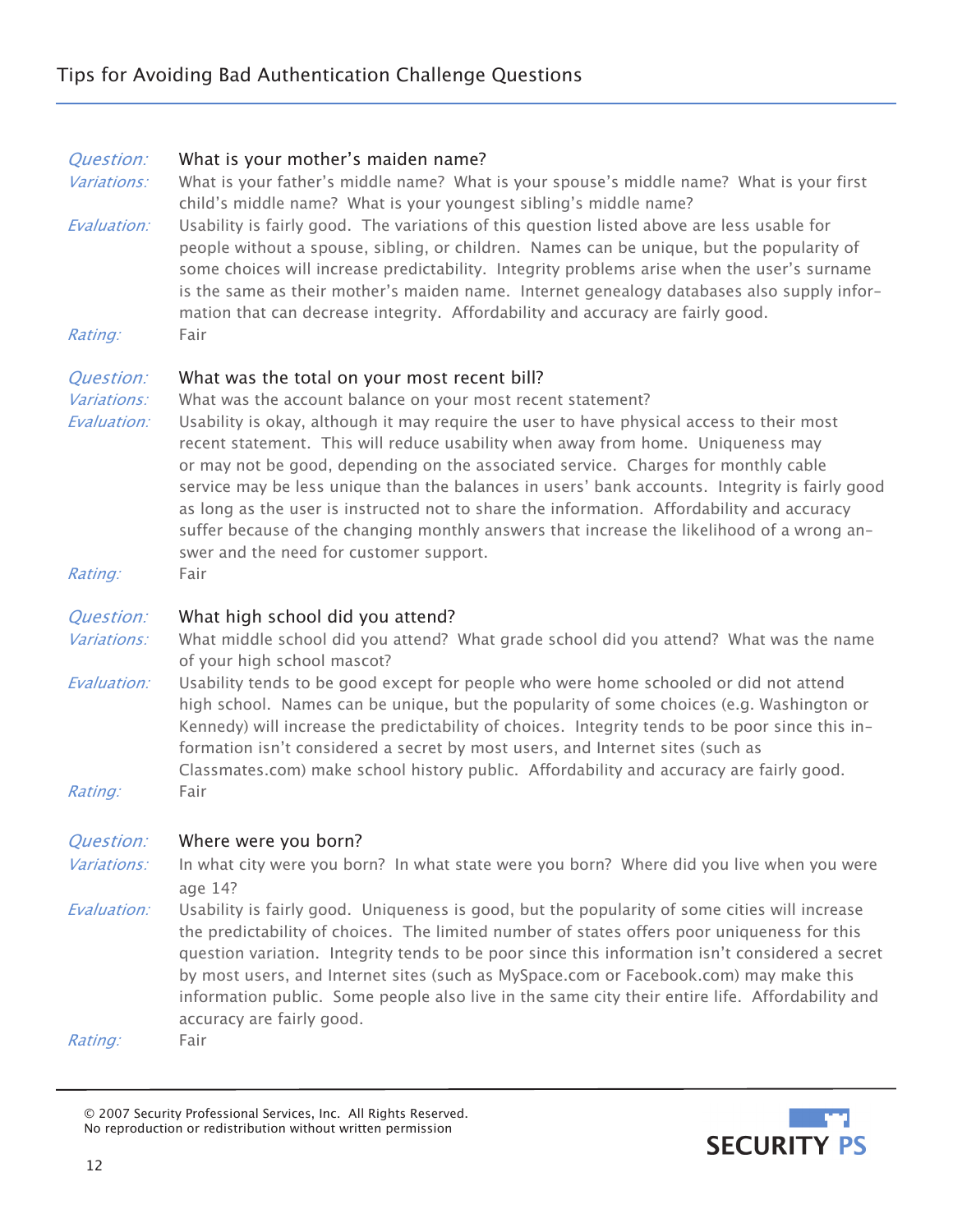| Question:<br>Variations:<br>Evaluation:            | What is your mother's maiden name?<br>What is your father's middle name? What is your spouse's middle name? What is your first<br>child's middle name? What is your youngest sibling's middle name?<br>Usability is fairly good. The variations of this question listed above are less usable for<br>people without a spouse, sibling, or children. Names can be unique, but the popularity of<br>some choices will increase predictability. Integrity problems arise when the user's surname<br>is the same as their mother's maiden name. Internet genealogy databases also supply infor-<br>mation that can decrease integrity. Affordability and accuracy are fairly good.                                              |
|----------------------------------------------------|-----------------------------------------------------------------------------------------------------------------------------------------------------------------------------------------------------------------------------------------------------------------------------------------------------------------------------------------------------------------------------------------------------------------------------------------------------------------------------------------------------------------------------------------------------------------------------------------------------------------------------------------------------------------------------------------------------------------------------|
| Rating:                                            | Fair                                                                                                                                                                                                                                                                                                                                                                                                                                                                                                                                                                                                                                                                                                                        |
| Question:<br>Variations:<br>Evaluation:            | What was the total on your most recent bill?<br>What was the account balance on your most recent statement?<br>Usability is okay, although it may require the user to have physical access to their most<br>recent statement. This will reduce usability when away from home. Uniqueness may<br>or may not be good, depending on the associated service. Charges for monthly cable<br>service may be less unique than the balances in users' bank accounts. Integrity is fairly good<br>as long as the user is instructed not to share the information. Affordability and accuracy<br>suffer because of the changing monthly answers that increase the likelihood of a wrong an-<br>swer and the need for customer support. |
| Rating:                                            | Fair                                                                                                                                                                                                                                                                                                                                                                                                                                                                                                                                                                                                                                                                                                                        |
| Question:<br>Variations:<br>Evaluation:<br>Rating: | What high school did you attend?<br>What middle school did you attend? What grade school did you attend? What was the name<br>of your high school mascot?<br>Usability tends to be good except for people who were home schooled or did not attend<br>high school. Names can be unique, but the popularity of some choices (e.g. Washington or<br>Kennedy) will increase the predictability of choices. Integrity tends to be poor since this in-<br>formation isn't considered a secret by most users, and Internet sites (such as<br>Classmates.com) make school history public. Affordability and accuracy are fairly good.<br>Fair                                                                                      |
|                                                    | Question: Where were you born?                                                                                                                                                                                                                                                                                                                                                                                                                                                                                                                                                                                                                                                                                              |
| <i>Variations:</i>                                 | In what city were you born? In what state were you born? Where did you live when you were<br>age 14?                                                                                                                                                                                                                                                                                                                                                                                                                                                                                                                                                                                                                        |
| Evaluation:                                        | Usability is fairly good. Uniqueness is good, but the popularity of some cities will increase<br>the predictability of choices. The limited number of states offers poor uniqueness for this<br>question variation. Integrity tends to be poor since this information isn't considered a secret<br>by most users, and Internet sites (such as MySpace.com or Facebook.com) may make this<br>information public. Some people also live in the same city their entire life. Affordability and<br>accuracy are fairly good.                                                                                                                                                                                                    |

<sup>© 2007</sup> Security Professional Services, Inc. All Rights Reserved. No reproduction or redistribution without written permission

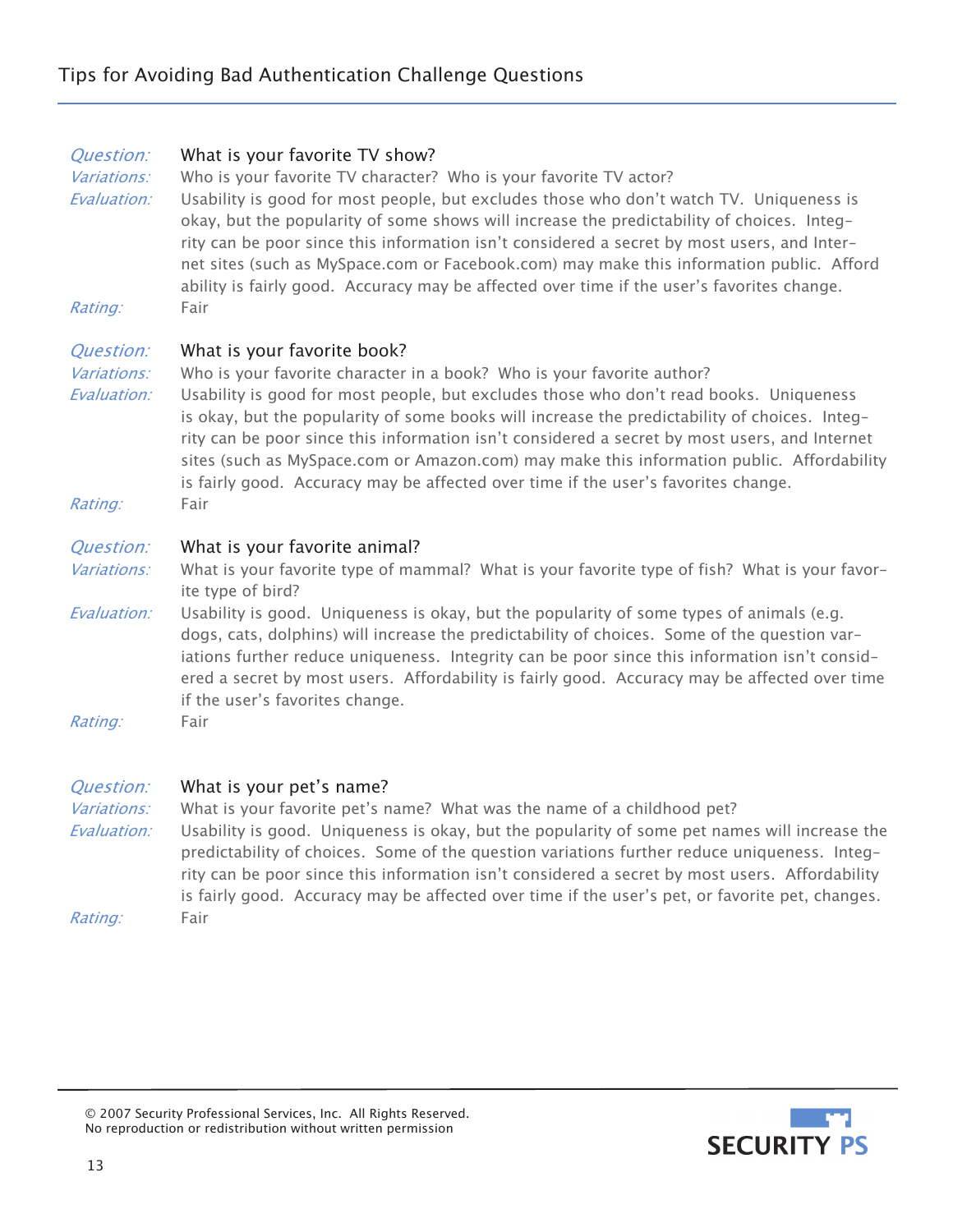| Question:<br>Variations:<br>Evaluation: | What is your favorite TV show?<br>Who is your favorite TV character? Who is your favorite TV actor?<br>Usability is good for most people, but excludes those who don't watch TV. Uniqueness is<br>okay, but the popularity of some shows will increase the predictability of choices. Integ-<br>rity can be poor since this information isn't considered a secret by most users, and Inter-<br>net sites (such as MySpace.com or Facebook.com) may make this information public. Afford<br>ability is fairly good. Accuracy may be affected over time if the user's favorites change. |
|-----------------------------------------|---------------------------------------------------------------------------------------------------------------------------------------------------------------------------------------------------------------------------------------------------------------------------------------------------------------------------------------------------------------------------------------------------------------------------------------------------------------------------------------------------------------------------------------------------------------------------------------|
| Rating:                                 | Fair                                                                                                                                                                                                                                                                                                                                                                                                                                                                                                                                                                                  |
| Question:<br>Variations:<br>Evaluation: | What is your favorite book?<br>Who is your favorite character in a book? Who is your favorite author?<br>Usability is good for most people, but excludes those who don't read books. Uniqueness<br>is okay, but the popularity of some books will increase the predictability of choices. Integ-<br>rity can be poor since this information isn't considered a secret by most users, and Internet<br>sites (such as MySpace.com or Amazon.com) may make this information public. Affordability                                                                                        |
| Rating:                                 | is fairly good. Accuracy may be affected over time if the user's favorites change.<br>Fair                                                                                                                                                                                                                                                                                                                                                                                                                                                                                            |
| Question:<br>Variations:                | What is your favorite animal?<br>What is your favorite type of mammal? What is your favorite type of fish? What is your favor-<br>ite type of bird?                                                                                                                                                                                                                                                                                                                                                                                                                                   |
| Evaluation:                             | Usability is good. Uniqueness is okay, but the popularity of some types of animals (e.g.<br>dogs, cats, dolphins) will increase the predictability of choices. Some of the question var-<br>iations further reduce uniqueness. Integrity can be poor since this information isn't consid-<br>ered a secret by most users. Affordability is fairly good. Accuracy may be affected over time<br>if the user's favorites change.                                                                                                                                                         |
| Rating:                                 | Fair                                                                                                                                                                                                                                                                                                                                                                                                                                                                                                                                                                                  |
| Question:                               | What is your pet's name?                                                                                                                                                                                                                                                                                                                                                                                                                                                                                                                                                              |
| Variations:                             | What is your favorite pet's name? What was the name of a childhood pet?                                                                                                                                                                                                                                                                                                                                                                                                                                                                                                               |
| Evaluation:                             | Usability is good. Uniqueness is okay, but the popularity of some pet names will increase the<br>predictability of choices. Some of the question variations further reduce uniqueness. Integ-<br>rity can be poor since this information isn't considered a secret by most users. Affordability<br>is fairly good. Accuracy may be affected over time if the user's pet, or favorite pet, changes.                                                                                                                                                                                    |

Rating: Fair



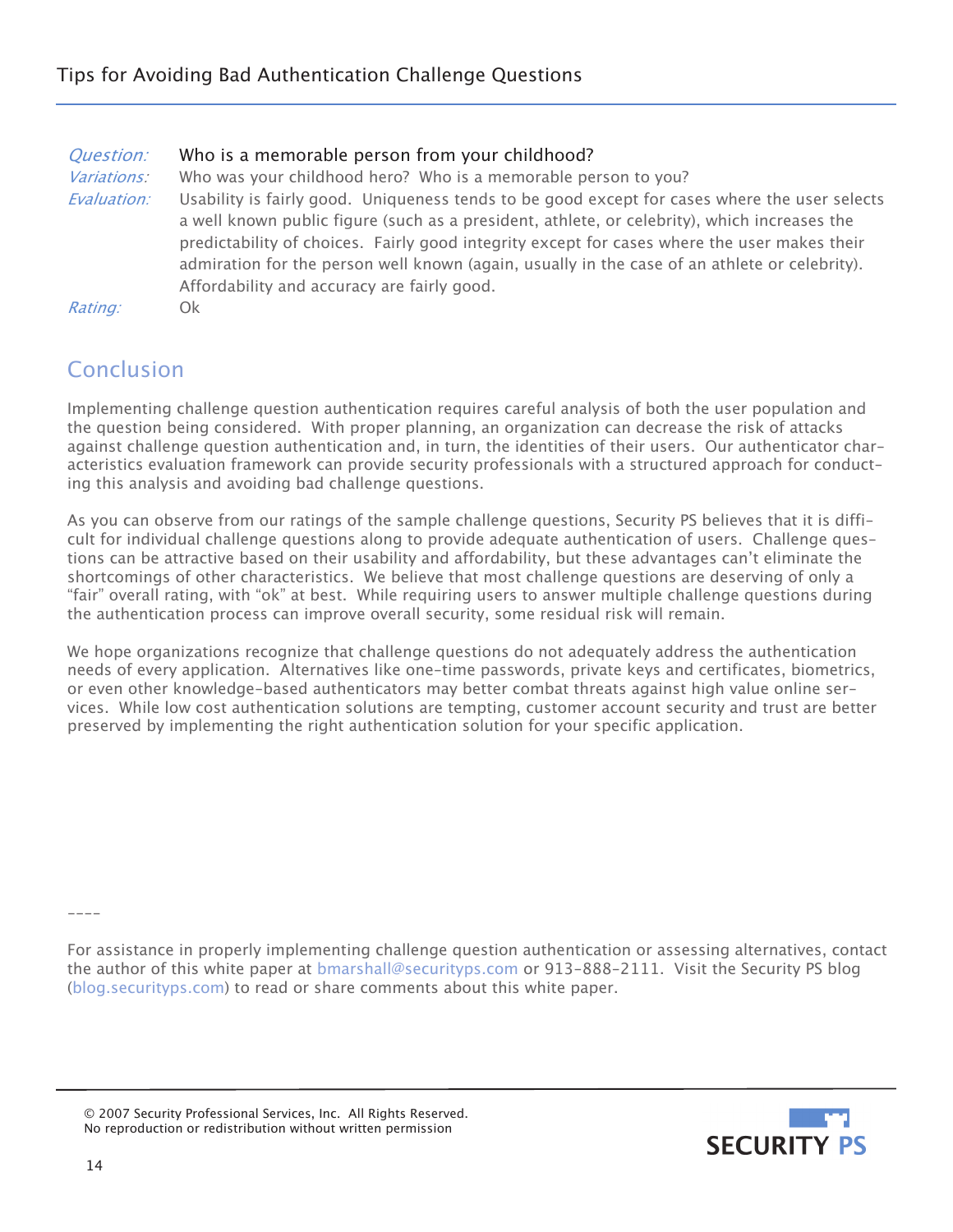| Question:          | Who is a memorable person from your childhood?                                                                                                                                                                                                                                                                                                                                                                                                |
|--------------------|-----------------------------------------------------------------------------------------------------------------------------------------------------------------------------------------------------------------------------------------------------------------------------------------------------------------------------------------------------------------------------------------------------------------------------------------------|
| <i>Variations:</i> | Who was your childhood hero? Who is a memorable person to you?                                                                                                                                                                                                                                                                                                                                                                                |
| Evaluation:        | Usability is fairly good. Uniqueness tends to be good except for cases where the user selects<br>a well known public figure (such as a president, athlete, or celebrity), which increases the<br>predictability of choices. Fairly good integrity except for cases where the user makes their<br>admiration for the person well known (again, usually in the case of an athlete or celebrity).<br>Affordability and accuracy are fairly good. |
| Rating:            | Οk                                                                                                                                                                                                                                                                                                                                                                                                                                            |

## Conclusion

Implementing challenge question authentication requires careful analysis of both the user population and the question being considered. With proper planning, an organization can decrease the risk of attacks against challenge question authentication and, in turn, the identities of their users. Our authenticator characteristics evaluation framework can provide security professionals with a structured approach for conducting this analysis and avoiding bad challenge questions.

As you can observe from our ratings of the sample challenge questions, Security PS believes that it is difficult for individual challenge questions along to provide adequate authentication of users. Challenge questions can be attractive based on their usability and affordability, but these advantages can't eliminate the shortcomings of other characteristics. We believe that most challenge questions are deserving of only a "fair" overall rating, with "ok" at best. While requiring users to answer multiple challenge questions during the authentication process can improve overall security, some residual risk will remain.

We hope organizations recognize that challenge questions do not adequately address the authentication needs of every application. Alternatives like one-time passwords, private keys and certificates, biometrics, or even other knowledge-based authenticators may better combat threats against high value online services. While low cost authentication solutions are tempting, customer account security and trust are better preserved by implementing the right authentication solution for your specific application.

----

For assistance in properly implementing challenge question authentication or assessing alternatives, contact the author of this white paper at bmarshall@securityps.com or 913-888-2111. Visit the Security PS blog (blog.securityps.com) to read or share comments about this white paper.